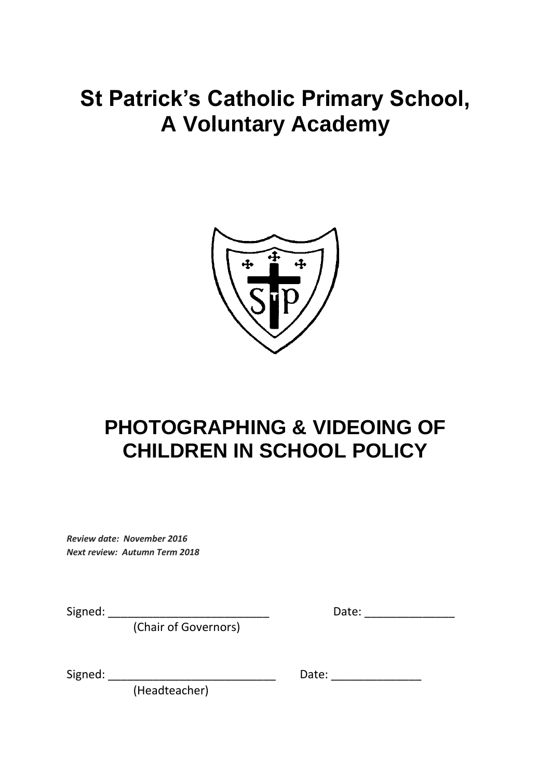# **St Patrick's Catholic Primary School, A Voluntary Academy**



## **PHOTOGRAPHING & VIDEOING OF CHILDREN IN SCHOOL POLICY**

*Review date: November 2016 Next review: Autumn Term 2018*

(Chair of Governors)

Signed: \_\_\_\_\_\_\_\_\_\_\_\_\_\_\_\_\_\_\_\_\_\_\_\_\_ Date: \_\_\_\_\_\_\_\_\_\_\_\_\_\_

Signed: \_\_\_\_\_\_\_\_\_\_\_\_\_\_\_\_\_\_\_\_\_\_\_\_\_\_ Date: \_\_\_\_\_\_\_\_\_\_\_\_\_\_

(Headteacher)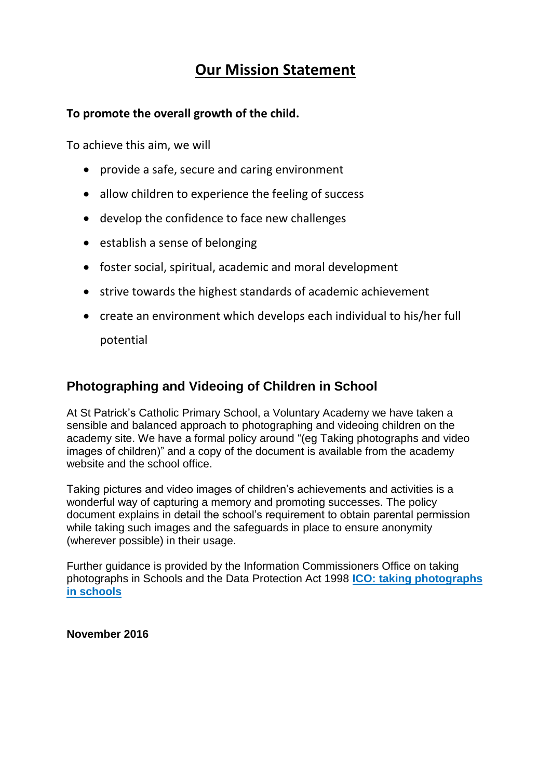## **Our Mission Statement**

#### **To promote the overall growth of the child.**

To achieve this aim, we will

- provide a safe, secure and caring environment
- allow children to experience the feeling of success
- develop the confidence to face new challenges
- establish a sense of belonging
- foster social, spiritual, academic and moral development
- strive towards the highest standards of academic achievement
- create an environment which develops each individual to his/her full

potential

### **Photographing and Videoing of Children in School**

At St Patrick's Catholic Primary School, a Voluntary Academy we have taken a sensible and balanced approach to photographing and videoing children on the academy site. We have a formal policy around "(eg Taking photographs and video images of children)" and a copy of the document is available from the academy website and the school office.

Taking pictures and video images of children's achievements and activities is a wonderful way of capturing a memory and promoting successes. The policy document explains in detail the school's requirement to obtain parental permission while taking such images and the safeguards in place to ensure anonymity (wherever possible) in their usage.

Further guidance is provided by the Information Commissioners Office on taking photographs in Schools and the Data Protection Act 1998 **[ICO: taking photographs](https://ico.org.uk/media/for-organisations/documents/1136/taking_photos.pdf)  [in schools](https://ico.org.uk/media/for-organisations/documents/1136/taking_photos.pdf)**

**November 2016**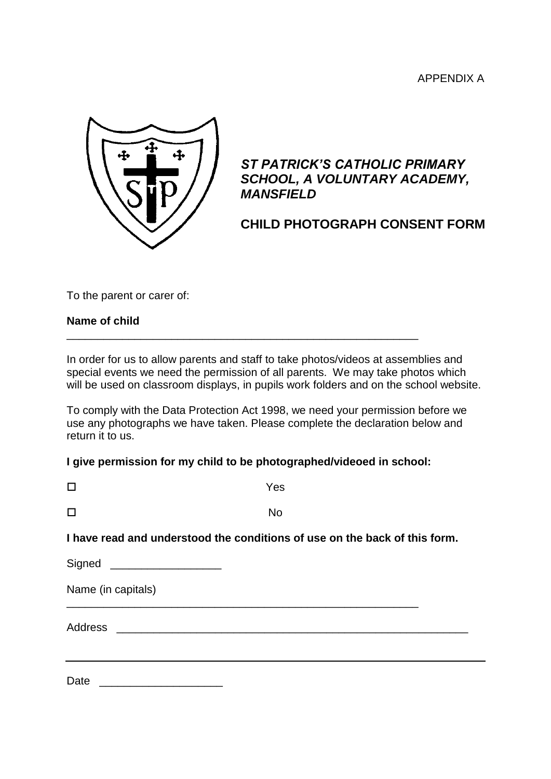

### *ST PATRICK'S CATHOLIC PRIMARY SCHOOL, A VOLUNTARY ACADEMY, MANSFIELD*

## **CHILD PHOTOGRAPH CONSENT FORM**

To the parent or carer of:

#### **Name of child**

In order for us to allow parents and staff to take photos/videos at assemblies and special events we need the permission of all parents. We may take photos which will be used on classroom displays, in pupils work folders and on the school website.

To comply with the Data Protection Act 1998, we need your permission before we use any photographs we have taken. Please complete the declaration below and return it to us.

#### **I give permission for my child to be photographed/videoed in school:**

\_\_\_\_\_\_\_\_\_\_\_\_\_\_\_\_\_\_\_\_\_\_\_\_\_\_\_\_\_\_\_\_\_\_\_\_\_\_\_\_\_\_\_\_\_\_\_\_\_\_\_\_\_\_\_\_\_

| □                                                                          | Yes       |  |
|----------------------------------------------------------------------------|-----------|--|
| □                                                                          | <b>No</b> |  |
| I have read and understood the conditions of use on the back of this form. |           |  |
| Signed ___________________                                                 |           |  |
| Name (in capitals)                                                         |           |  |
|                                                                            |           |  |
|                                                                            |           |  |
|                                                                            |           |  |

Date \_\_\_\_\_\_\_\_\_\_\_\_\_\_\_\_\_\_\_\_